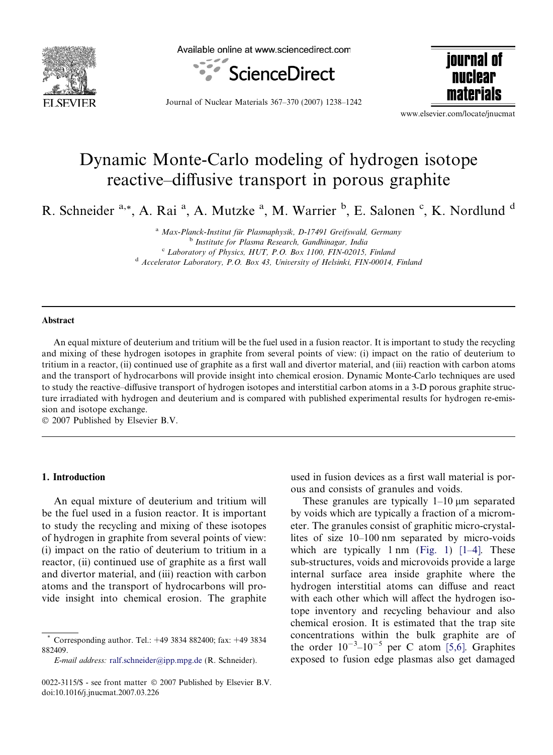

Available online at www.sciencedirect.com



iournal of nuclear materials

Journal of Nuclear Materials 367–370 (2007) 1238–1242

www.elsevier.com/locate/jnucmat

# Dynamic Monte-Carlo modeling of hydrogen isotope reactive–diffusive transport in porous graphite

R. Schneider <sup>a,\*</sup>, A. Rai<sup>a</sup>, A. Mutzke<sup>a</sup>, M. Warrier <sup>b</sup>, E. Salonen <sup>c</sup>, K. Nordlund <sup>d</sup>

<sup>a</sup> Max-Planck-Institut für Plasmaphysik, D-17491 Greifswald, Germany<br><sup>b</sup> Institute for Plasma Research, Gandhinagar, India <sup>c</sup> Laboratory of Physics, HUT, P.O. Box 1100, FIN-02015, Finland <sup>d</sup> Accelerator Laboratory, P.O. Box 43, University of Helsinki, FIN-00014, Finland

### Abstract

An equal mixture of deuterium and tritium will be the fuel used in a fusion reactor. It is important to study the recycling and mixing of these hydrogen isotopes in graphite from several points of view: (i) impact on the ratio of deuterium to tritium in a reactor, (ii) continued use of graphite as a first wall and divertor material, and (iii) reaction with carbon atoms and the transport of hydrocarbons will provide insight into chemical erosion. Dynamic Monte-Carlo techniques are used to study the reactive–diffusive transport of hydrogen isotopes and interstitial carbon atoms in a 3-D porous graphite structure irradiated with hydrogen and deuterium and is compared with published experimental results for hydrogen re-emission and isotope exchange.

© 2007 Published by Elsevier B.V.

## 1. Introduction

An equal mixture of deuterium and tritium will be the fuel used in a fusion reactor. It is important to study the recycling and mixing of these isotopes of hydrogen in graphite from several points of view: (i) impact on the ratio of deuterium to tritium in a reactor, (ii) continued use of graphite as a first wall and divertor material, and (iii) reaction with carbon atoms and the transport of hydrocarbons will provide insight into chemical erosion. The graphite

E-mail address: [ralf.schneider@ipp.mpg.de](mailto:ralf.schneider@ipp.mpg.de) (R. Schneider).

used in fusion devices as a first wall material is porous and consists of granules and voids.

These granules are typically  $1-10 \mu m$  separated by voids which are typically a fraction of a micrometer. The granules consist of graphitic micro-crystallites of size 10–100 nm separated by micro-voids which are typically  $1 \text{ nm}$  [\(Fig. 1](#page-1-0))  $[1-4]$ . These sub-structures, voids and microvoids provide a large internal surface area inside graphite where the hydrogen interstitial atoms can diffuse and react with each other which will affect the hydrogen isotope inventory and recycling behaviour and also chemical erosion. It is estimated that the trap site concentrations within the bulk graphite are of the order  $10^{-3}$ - $10^{-5}$  per C atom [\[5,6\]](#page-4-0). Graphites exposed to fusion edge plasmas also get damaged

<sup>\*</sup> Corresponding author. Tel.: +49 3834 882400; fax: +49 3834 882409.

<sup>0022-3115/\$ -</sup> see front matter © 2007 Published by Elsevier B.V. doi:10.1016/j.jnucmat.2007.03.226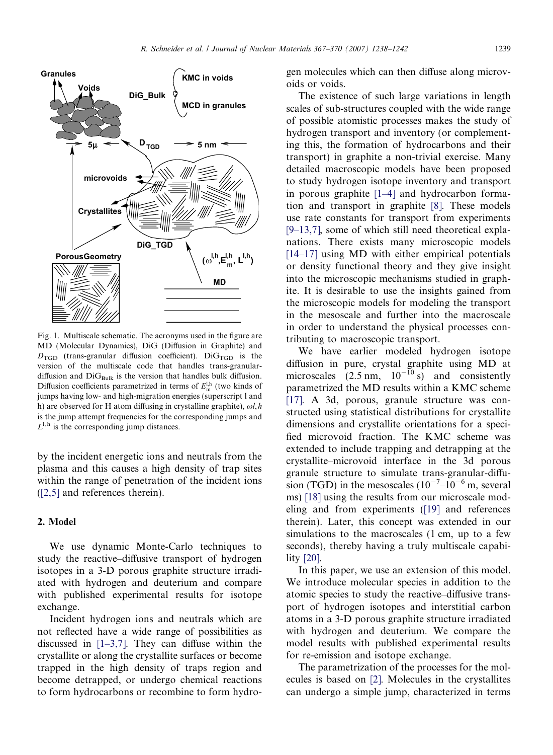<span id="page-1-0"></span>

Fig. 1. Multiscale schematic. The acronyms used in the figure are MD (Molecular Dynamics), DiG (Diffusion in Graphite) and  $D_{\text{TGD}}$  (trans-granular diffusion coefficient). DiG $_{\text{TGD}}$  is the version of the multiscale code that handles trans-granulardiffusion and  $DiG<sub>Bulk</sub>$  is the version that handles bulk diffusion. Diffusion coefficients parametrized in terms of  $E_{\rm m}^{\rm l,h}$  (two kinds of jumps having low- and high-migration energies (superscript l and h) are observed for H atom diffusing in crystalline graphite),  $\omega l$ , h is the jump attempt frequencies for the corresponding jumps and  $L^{1,h}$  is the corresponding jump distances.

by the incident energetic ions and neutrals from the plasma and this causes a high density of trap sites within the range of penetration of the incident ions [\(\[2,5\]](#page-4-0) and references therein).

# 2. Model

We use dynamic Monte-Carlo techniques to study the reactive–diffusive transport of hydrogen isotopes in a 3-D porous graphite structure irradiated with hydrogen and deuterium and compare with published experimental results for isotope exchange.

Incident hydrogen ions and neutrals which are not reflected have a wide range of possibilities as discussed in  $[1-3,7]$ . They can diffuse within the crystallite or along the crystallite surfaces or become trapped in the high density of traps region and become detrapped, or undergo chemical reactions to form hydrocarbons or recombine to form hydro-

gen molecules which can then diffuse along microvoids or voids.

The existence of such large variations in length scales of sub-structures coupled with the wide range of possible atomistic processes makes the study of hydrogen transport and inventory (or complementing this, the formation of hydrocarbons and their transport) in graphite a non-trivial exercise. Many detailed macroscopic models have been proposed to study hydrogen isotope inventory and transport in porous graphite [\[1–4\]](#page-4-0) and hydrocarbon formation and transport in graphite [\[8\].](#page-4-0) These models use rate constants for transport from experiments [\[9–13,7\],](#page-4-0) some of which still need theoretical explanations. There exists many microscopic models [\[14–17\]](#page-4-0) using MD with either empirical potentials or density functional theory and they give insight into the microscopic mechanisms studied in graphite. It is desirable to use the insights gained from the microscopic models for modeling the transport in the mesoscale and further into the macroscale in order to understand the physical processes contributing to macroscopic transport.

We have earlier modeled hydrogen isotope diffusion in pure, crystal graphite using MD at microscales  $(2.5 \text{ nm}, 10^{-10} \text{ s})$  and consistently parametrized the MD results within a KMC scheme [\[17\]](#page-4-0). A 3d, porous, granule structure was constructed using statistical distributions for crystallite dimensions and crystallite orientations for a specified microvoid fraction. The KMC scheme was extended to include trapping and detrapping at the crystallite–microvoid interface in the 3d porous granule structure to simulate trans-granular-diffusion (TGD) in the mesoscales  $(10^{-7} - 10^{-6})$  m, several ms) [\[18\]](#page-4-0) using the results from our microscale modeling and from experiments [\(\[19\]](#page-4-0) and references therein). Later, this concept was extended in our simulations to the macroscales (1 cm, up to a few seconds), thereby having a truly multiscale capability [\[20\]](#page-4-0).

In this paper, we use an extension of this model. We introduce molecular species in addition to the atomic species to study the reactive–diffusive transport of hydrogen isotopes and interstitial carbon atoms in a 3-D porous graphite structure irradiated with hydrogen and deuterium. We compare the model results with published experimental results for re-emission and isotope exchange.

The parametrization of the processes for the molecules is based on [\[2\].](#page-4-0) Molecules in the crystallites can undergo a simple jump, characterized in terms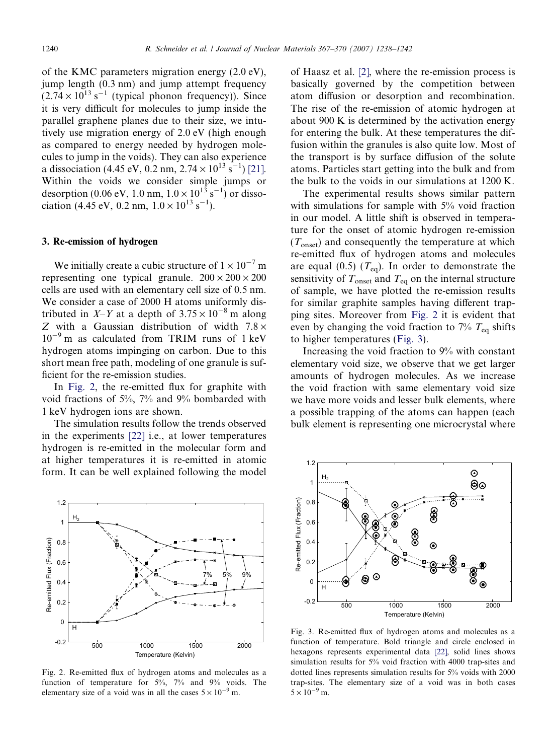of the KMC parameters migration energy (2.0 eV), jump length (0.3 nm) and jump attempt frequency  $(2.74 \times 10^{13} \text{ s}^{-1}$  (typical phonon frequency)). Since it is very difficult for molecules to jump inside the parallel graphene planes due to their size, we intutively use migration energy of 2.0 eV (high enough as compared to energy needed by hydrogen molecules to jump in the voids). They can also experience a dissociation (4.45 eV, 0.2 nm,  $2.74 \times 10^{13}$  s<sup>-1</sup>) [\[21\].](#page-4-0) Within the voids we consider simple jumps or desorption (0.06 eV, 1.0 nm,  $1.0 \times 10^{13}$  s<sup>-1</sup>) or dissociation (4.45 eV, 0.2 nm,  $1.0 \times 10^{13}$  s<sup>-1</sup>).

#### 3. Re-emission of hydrogen

We initially create a cubic structure of  $1 \times 10^{-7}$  m representing one typical granule.  $200 \times 200 \times 200$ cells are used with an elementary cell size of 0.5 nm. We consider a case of 2000 H atoms uniformly distributed in X-Y at a depth of  $3.75 \times 10^{-8}$  m along Z with a Gaussian distribution of width  $7.8 \times$ 10<sup>-9</sup> m as calculated from TRIM runs of 1 keV hydrogen atoms impinging on carbon. Due to this short mean free path, modeling of one granule is sufficient for the re-emission studies.

In Fig. 2, the re-emitted flux for graphite with void fractions of 5%, 7% and 9% bombarded with 1 keV hydrogen ions are shown.

The simulation results follow the trends observed in the experiments [\[22\]](#page-4-0) i.e., at lower temperatures hydrogen is re-emitted in the molecular form and at higher temperatures it is re-emitted in atomic form. It can be well explained following the model



Fig. 2. Re-emitted flux of hydrogen atoms and molecules as a function of temperature for 5%, 7% and 9% voids. The elementary size of a void was in all the cases  $5 \times 10^{-9}$  m.

of Haasz et al. [\[2\]](#page-4-0), where the re-emission process is basically governed by the competition between atom diffusion or desorption and recombination. The rise of the re-emission of atomic hydrogen at about 900 K is determined by the activation energy for entering the bulk. At these temperatures the diffusion within the granules is also quite low. Most of the transport is by surface diffusion of the solute atoms. Particles start getting into the bulk and from the bulk to the voids in our simulations at 1200 K.

The experimental results shows similar pattern with simulations for sample with 5% void fraction in our model. A little shift is observed in temperature for the onset of atomic hydrogen re-emission  $(T<sub>onset</sub>)$  and consequently the temperature at which re-emitted flux of hydrogen atoms and molecules are equal (0.5)  $(T_{eq})$ . In order to demonstrate the sensitivity of  $T_{onset}$  and  $T_{eq}$  on the internal structure of sample, we have plotted the re-emission results for similar graphite samples having different trapping sites. Moreover from Fig. 2 it is evident that even by changing the void fraction to  $7\%$   $T_{eq}$  shifts to higher temperatures (Fig. 3).

Increasing the void fraction to 9% with constant elementary void size, we observe that we get larger amounts of hydrogen molecules. As we increase the void fraction with same elementary void size we have more voids and lesser bulk elements, where a possible trapping of the atoms can happen (each bulk element is representing one microcrystal where



Fig. 3. Re-emitted flux of hydrogen atoms and molecules as a function of temperature. Bold triangle and circle enclosed in hexagons represents experimental data [\[22\]](#page-4-0), solid lines shows simulation results for 5% void fraction with 4000 trap-sites and dotted lines represents simulation results for 5% voids with 2000 trap-sites. The elementary size of a void was in both cases  $5 \times 10^{-9}$  m.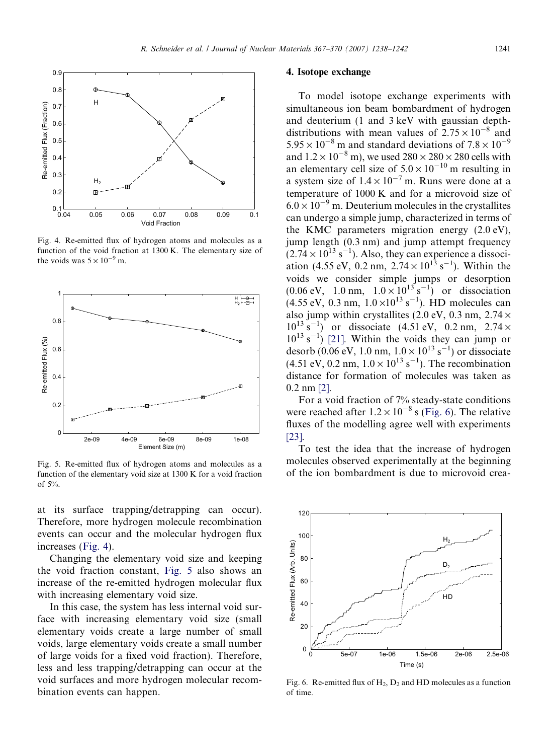



Fig. 4. Re-emitted flux of hydrogen atoms and molecules as a function of the void fraction at 1300 K. The elementary size of the voids was  $5 \times 10^{-9}$  m.



Fig. 5. Re-emitted flux of hydrogen atoms and molecules as a function of the elementary void size at 1300 K for a void fraction of 5%.

at its surface trapping/detrapping can occur). Therefore, more hydrogen molecule recombination events can occur and the molecular hydrogen flux increases (Fig. 4).

Changing the elementary void size and keeping the void fraction constant, Fig. 5 also shows an increase of the re-emitted hydrogen molecular flux with increasing elementary void size.

In this case, the system has less internal void surface with increasing elementary void size (small elementary voids create a large number of small voids, large elementary voids create a small number of large voids for a fixed void fraction). Therefore, less and less trapping/detrapping can occur at the void surfaces and more hydrogen molecular recombination events can happen.

## 4. Isotope exchange

To model isotope exchange experiments with simultaneous ion beam bombardment of hydrogen and deuterium (1 and 3 keV with gaussian depthdistributions with mean values of  $2.75 \times 10^{-8}$  and  $5.95 \times 10^{-8}$  m and standard deviations of  $7.8 \times 10^{-9}$ and  $1.2 \times 10^{-8}$  m), we used  $280 \times 280 \times 280$  cells with an elementary cell size of  $5.0 \times 10^{-10}$  m resulting in a system size of  $1.4 \times 10^{-7}$  m. Runs were done at a temperature of 1000 K and for a microvoid size of  $6.0 \times 10^{-9}$  m. Deuterium molecules in the crystallites can undergo a simple jump, characterized in terms of the KMC parameters migration energy (2.0 eV), jump length (0.3 nm) and jump attempt frequency  $(2.74 \times 10^{13} \text{ s}^{-1})$ . Also, they can experience a dissociation (4.55 eV, 0.2 nm,  $2.74 \times 10^{13}$  s<sup>-1</sup>). Within the voids we consider simple jumps or desorption  $(0.06 \text{ eV}, \quad 1.0 \text{ nm}, \quad 1.0 \times 10^{13} \text{ s}^{-1})$  or dissociation  $(4.55 \text{ eV}, 0.3 \text{ nm}, 1.0 \times 10^{13} \text{ s}^{-1})$ . HD molecules can also jump within crystallites (2.0 eV, 0.3 nm,  $2.74 \times$  $10^{13}$  s<sup>-1</sup>) or dissociate (4.51 eV, 0.2 nm, 2.74  $\times$  $10^{13}$  s<sup>-1</sup>) [\[21\].](#page-4-0) Within the voids they can jump or desorb (0.06 eV, 1.0 nm,  $1.0 \times 10^{13}$  s<sup>-1</sup>) or dissociate  $(4.51 \text{ eV}, 0.2 \text{ nm}, 1.0 \times 10^{13} \text{ s}^{-1})$ . The recombination distance for formation of molecules was taken as 0.2 nm [\[2\].](#page-4-0)

For a void fraction of 7% steady-state conditions were reached after  $1.2 \times 10^{-8}$  s (Fig. 6). The relative fluxes of the modelling agree well with experiments [\[23\]](#page-4-0).

To test the idea that the increase of hydrogen molecules observed experimentally at the beginning of the ion bombardment is due to microvoid crea-



Fig. 6. Re-emitted flux of  $H_2$ ,  $D_2$  and HD molecules as a function of time.